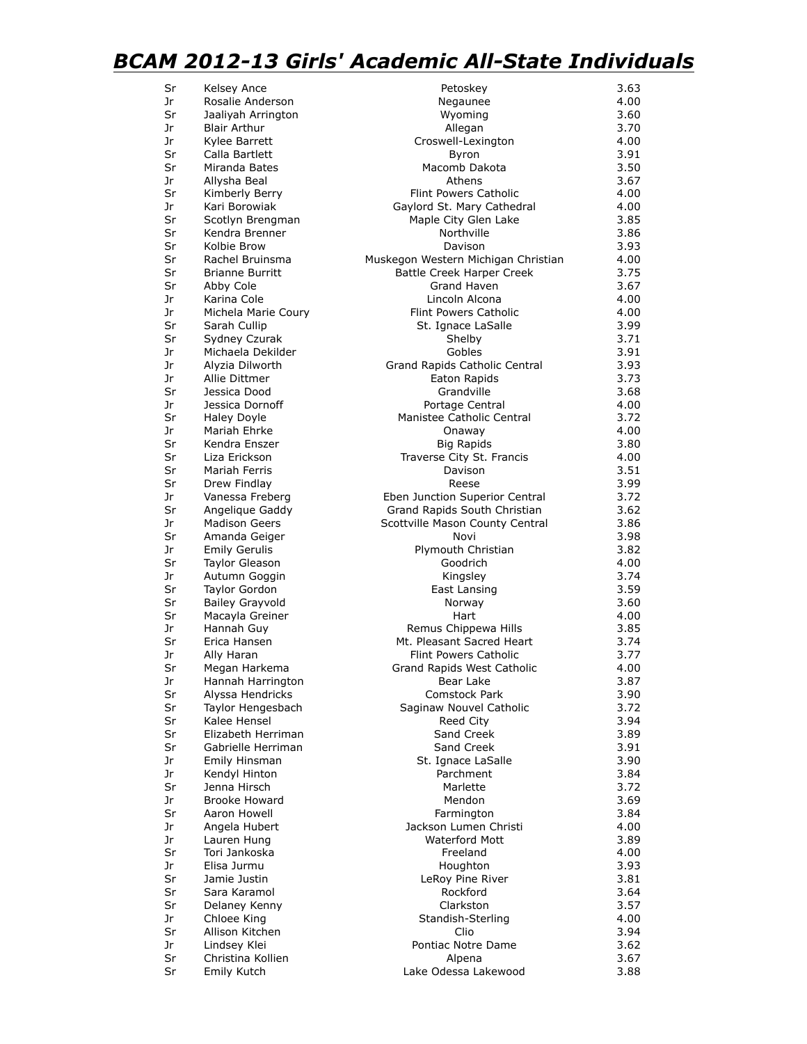## *BCAM 2012-13 Girls' Academic All-State Individuals*

| Sr       | Kelsey Ance                        | Petoskey                                           | 3.63         |
|----------|------------------------------------|----------------------------------------------------|--------------|
| Jr       | Rosalie Anderson                   | Negaunee                                           | 4.00         |
| Sr       | Jaaliyah Arrington                 | Wyoming                                            | 3.60         |
| Jr       | <b>Blair Arthur</b>                | Allegan                                            | 3.70         |
| Jr       | Kylee Barrett                      | Croswell-Lexington                                 | 4.00         |
| Sr       | Calla Bartlett                     | Byron                                              | 3.91         |
| Sr       | Miranda Bates                      | Macomb Dakota                                      | 3.50         |
| Jr       | Allysha Beal                       | Athens                                             | 3.67         |
| Sr<br>Jr | Kimberly Berry<br>Kari Borowiak    | <b>Flint Powers Catholic</b>                       | 4.00<br>4.00 |
| Sr       | Scotlyn Brengman                   | Gaylord St. Mary Cathedral<br>Maple City Glen Lake | 3.85         |
| Sr       | Kendra Brenner                     | Northville                                         | 3.86         |
| Sr       | Kolbie Brow                        | Davison                                            | 3.93         |
| Sr       | Rachel Bruinsma                    | Muskegon Western Michigan Christian                | 4.00         |
| Sr       | <b>Brianne Burritt</b>             | Battle Creek Harper Creek                          | 3.75         |
| Sr       | Abby Cole                          | Grand Haven                                        | 3.67         |
| Jr       | Karina Cole                        | Lincoln Alcona                                     | 4.00         |
| Jr       | Michela Marie Coury                | <b>Flint Powers Catholic</b>                       | 4.00         |
| Sr       | Sarah Cullip                       | St. Ignace LaSalle                                 | 3.99         |
| Sr       | Sydney Czurak                      | Shelby                                             | 3.71         |
| Jr       | Michaela Dekilder                  | Gobles                                             | 3.91         |
| Jr       | Alyzia Dilworth                    | Grand Rapids Catholic Central                      | 3.93         |
| Jr       | Allie Dittmer                      | Eaton Rapids                                       | 3.73         |
| Sr       | Jessica Dood                       | Grandville                                         | 3.68         |
| Jr       | Jessica Dornoff                    | Portage Central                                    | 4.00         |
| Sr<br>Jr | <b>Haley Doyle</b><br>Mariah Ehrke | Manistee Catholic Central                          | 3.72<br>4.00 |
| Sr       | Kendra Enszer                      | Onaway<br><b>Big Rapids</b>                        | 3.80         |
| Sr       | Liza Erickson                      | Traverse City St. Francis                          | 4.00         |
| Sr       | Mariah Ferris                      | Davison                                            | 3.51         |
| Sr       | Drew Findlay                       | Reese                                              | 3.99         |
| Jr       | Vanessa Freberg                    | Eben Junction Superior Central                     | 3.72         |
| Sr       | Angelique Gaddy                    | Grand Rapids South Christian                       | 3.62         |
| Jr       | <b>Madison Geers</b>               | Scottville Mason County Central                    | 3.86         |
| Sr       | Amanda Geiger                      | Novi                                               | 3.98         |
| Jr       | <b>Emily Gerulis</b>               | Plymouth Christian                                 | 3.82         |
| Sr       | <b>Taylor Gleason</b>              | Goodrich                                           | 4.00         |
| Jr       | Autumn Goggin                      | Kingsley                                           | 3.74         |
| Sr       | <b>Taylor Gordon</b>               | East Lansing                                       | 3.59         |
| Sr       | <b>Bailey Grayvold</b>             | Norway                                             | 3.60         |
| Sr       | Macayla Greiner                    | Hart                                               | 4.00         |
| Jr<br>Sr | Hannah Guy<br>Erica Hansen         | Remus Chippewa Hills<br>Mt. Pleasant Sacred Heart  | 3.85<br>3.74 |
| Jr       | Ally Haran                         | <b>Flint Powers Catholic</b>                       | 3.77         |
| Sr       | Megan Harkema                      | Grand Rapids West Catholic                         | 4.00         |
| Jr       | Hannah Harrington                  | Bear Lake                                          | 3.87         |
| Sr       | Alyssa Hendricks                   | Comstock Park                                      | 3.90         |
| Sr       | Taylor Hengesbach                  | Saginaw Nouvel Catholic                            | 3.72         |
| Sr       | Kalee Hensel                       | Reed City                                          | 3.94         |
| Sr       | Elizabeth Herriman                 | Sand Creek                                         | 3.89         |
| Sr       | Gabrielle Herriman                 | Sand Creek                                         | 3.91         |
| Jr       | Emily Hinsman                      | St. Ignace LaSalle                                 | 3.90         |
| Jr       | Kendyl Hinton                      | Parchment                                          | 3.84         |
| Sr       | Jenna Hirsch                       | Marlette                                           | 3.72         |
| Jr       | <b>Brooke Howard</b>               | Mendon                                             | 3.69         |
| Sr       | Aaron Howell                       | Farmington                                         | 3.84         |
| Jr       | Angela Hubert                      | Jackson Lumen Christi                              | 4.00         |
| Jr       | Lauren Hung                        | <b>Waterford Mott</b>                              | 3.89         |
| Sr<br>Jr | Tori Jankoska<br>Elisa Jurmu       | Freeland<br>Houghton                               | 4.00<br>3.93 |
| Sr       | Jamie Justin                       | LeRoy Pine River                                   | 3.81         |
| Sr       | Sara Karamol                       | Rockford                                           | 3.64         |
| Sr       | Delaney Kenny                      | Clarkston                                          | 3.57         |
| Jr       | Chloee King                        | Standish-Sterling                                  | 4.00         |
| Sr       | Allison Kitchen                    | Clio                                               | 3.94         |
| Jr       | Lindsey Klei                       | Pontiac Notre Dame                                 | 3.62         |
| Sr       | Christina Kollien                  | Alpena                                             | 3.67         |
| Sr       | Emily Kutch                        | Lake Odessa Lakewood                               | 3.88         |